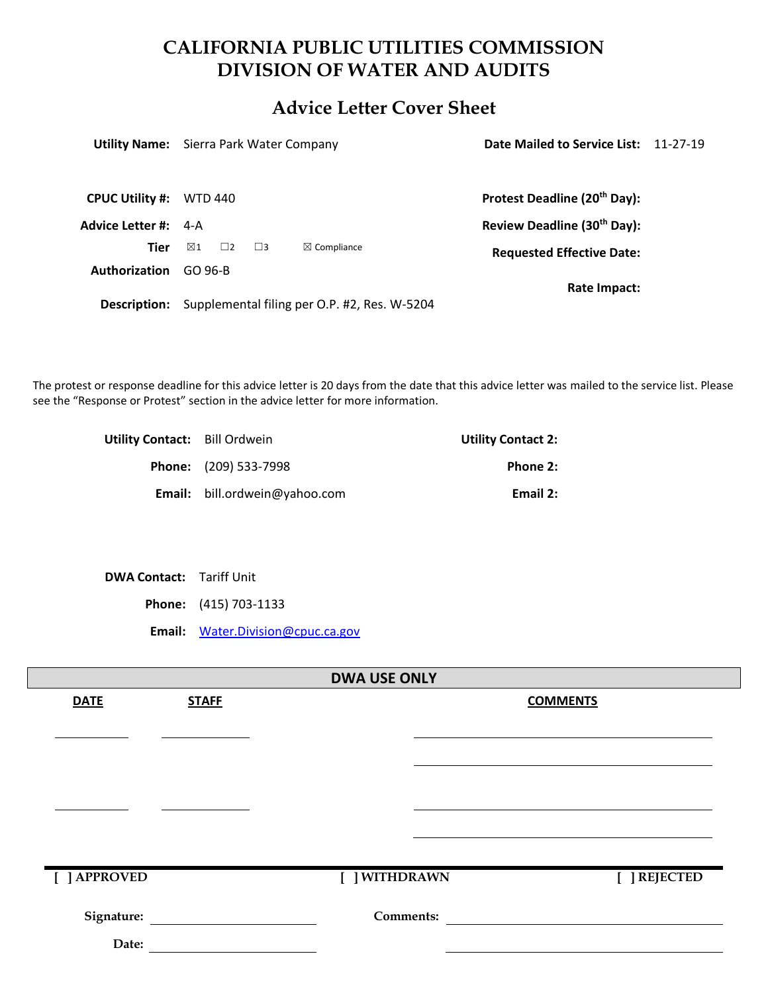# **CALIFORNIA PUBLIC UTILITIES COMMISSION DIVISION OF WATER AND AUDITS**

# **Advice Letter Cover Sheet**

|                             | <b>Utility Name:</b> Sierra Park Water Company                  | Date Mailed to Service List: 11-27-19    |  |
|-----------------------------|-----------------------------------------------------------------|------------------------------------------|--|
| <b>CPUC Utility #:</b>      | WTD 440                                                         | Protest Deadline (20 <sup>th</sup> Day): |  |
| <b>Advice Letter #: 4-A</b> |                                                                 | Review Deadline (30 <sup>th</sup> Day):  |  |
| <b>Tier</b>                 | $\boxtimes$ 1<br>$\boxtimes$ Compliance<br>$\Box$ 2<br>$\Box$ 3 | <b>Requested Effective Date:</b>         |  |
| <b>Authorization</b>        | GO 96-B                                                         |                                          |  |
| Description:                | Supplemental filing per O.P. #2, Res. W-5204                    | Rate Impact:                             |  |

The protest or response deadline for this advice letter is 20 days from the date that this advice letter was mailed to the service list. Please see the "Response or Protest" section in the advice letter for more information.

| <b>Utility Contact 2:</b> |                               | <b>Utility Contact:</b> Bill Ordwein |
|---------------------------|-------------------------------|--------------------------------------|
| Phone 2:                  | <b>Phone:</b> (209) 533-7998  |                                      |
| Email 2:                  | Email: bill.ordwein@yahoo.com |                                      |

**DWA Contact:** Tariff Unit

**Phone:** (415) 703-1133

**Email:** [Water.Division@cpuc.ca.gov](mailto:Water.Division@cpuc.ca.gov)

|              | <b>DWA USE ONLY</b> |                  |  |                 |              |
|--------------|---------------------|------------------|--|-----------------|--------------|
| <b>DATE</b>  | <b>STAFF</b>        |                  |  | <b>COMMENTS</b> |              |
|              |                     |                  |  |                 |              |
|              |                     |                  |  |                 |              |
|              |                     |                  |  |                 |              |
|              |                     |                  |  |                 |              |
|              |                     |                  |  |                 |              |
|              |                     |                  |  |                 |              |
|              |                     |                  |  |                 |              |
|              |                     |                  |  |                 |              |
| [ ] APPROVED |                     | [ ] WITHDRAWN    |  |                 | [ ] REJECTED |
| Signature:   |                     | <b>Comments:</b> |  |                 |              |
|              |                     |                  |  |                 |              |
| Date:        |                     |                  |  |                 |              |
|              |                     |                  |  |                 |              |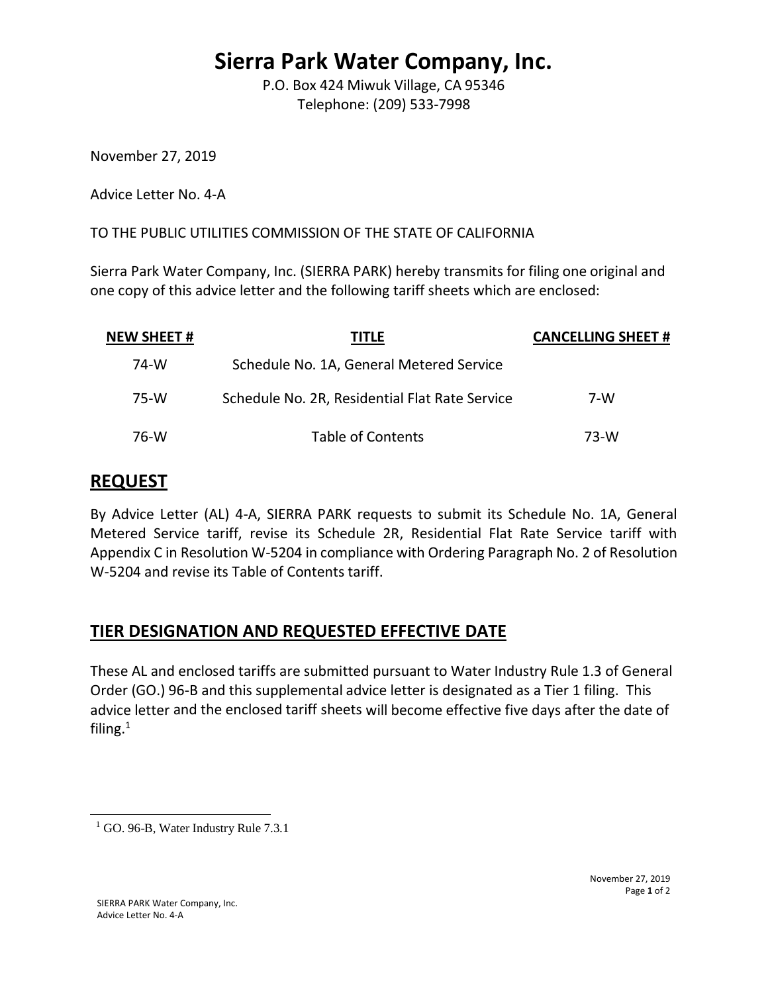# **Sierra Park Water Company, Inc.**

P.O. Box 424 Miwuk Village, CA 95346 Telephone: (209) 533-7998

November 27, 2019

Advice Letter No. 4-A

TO THE PUBLIC UTILITIES COMMISSION OF THE STATE OF CALIFORNIA

Sierra Park Water Company, Inc. (SIERRA PARK) hereby transmits for filing one original and one copy of this advice letter and the following tariff sheets which are enclosed:

| NEW SHEET # | TITLE                                          | <b>CANCELLING SHEET #</b> |
|-------------|------------------------------------------------|---------------------------|
| 74-W        | Schedule No. 1A, General Metered Service       |                           |
| 75-W        | Schedule No. 2R, Residential Flat Rate Service | 7-W                       |
| 76-W        | <b>Table of Contents</b>                       | 73-W                      |

## **REQUEST**

By Advice Letter (AL) 4-A, SIERRA PARK requests to submit its Schedule No. 1A, General Metered Service tariff, revise its Schedule 2R, Residential Flat Rate Service tariff with Appendix C in Resolution W-5204 in compliance with Ordering Paragraph No. 2 of Resolution W-5204 and revise its Table of Contents tariff.

## **TIER DESIGNATION AND REQUESTED EFFECTIVE DATE**

These AL and enclosed tariffs are submitted pursuant to Water Industry Rule 1.3 of General Order (GO.) 96-B and this supplemental advice letter is designated as a Tier 1 filing. This advice letter and the enclosed tariff sheets will become effective five days after the date of filing. $1$ 

 $1$  GO. 96-B, Water Industry Rule 7.3.1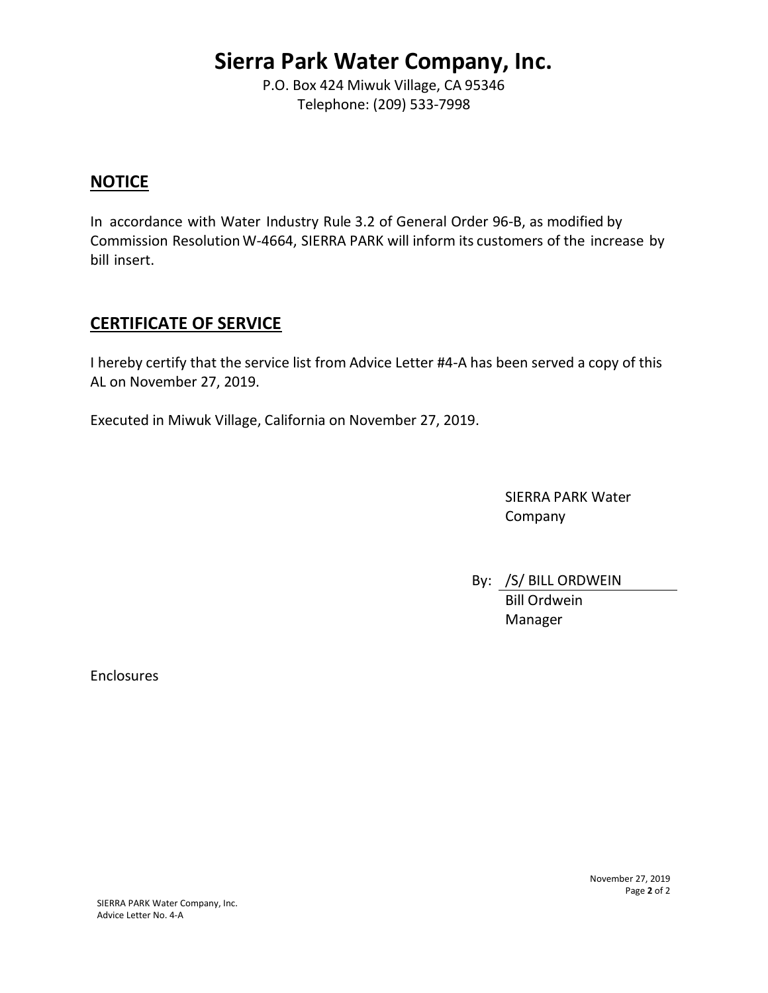# **Sierra Park Water Company, Inc.**

P.O. Box 424 Miwuk Village, CA 95346 Telephone: (209) 533-7998

## **NOTICE**

In accordance with Water Industry Rule 3.2 of General Order 96-B, as modified by Commission ResolutionW-4664, SIERRA PARK will inform its customers of the increase by bill insert.

# **CERTIFICATE OF SERVICE**

I hereby certify that the service list from Advice Letter #4-A has been served a copy of this AL on November 27, 2019.

Executed in Miwuk Village, California on November 27, 2019.

SIERRA PARK Water Company

By: /S/ BILL ORDWEIN

Bill Ordwein Manager

**Enclosures**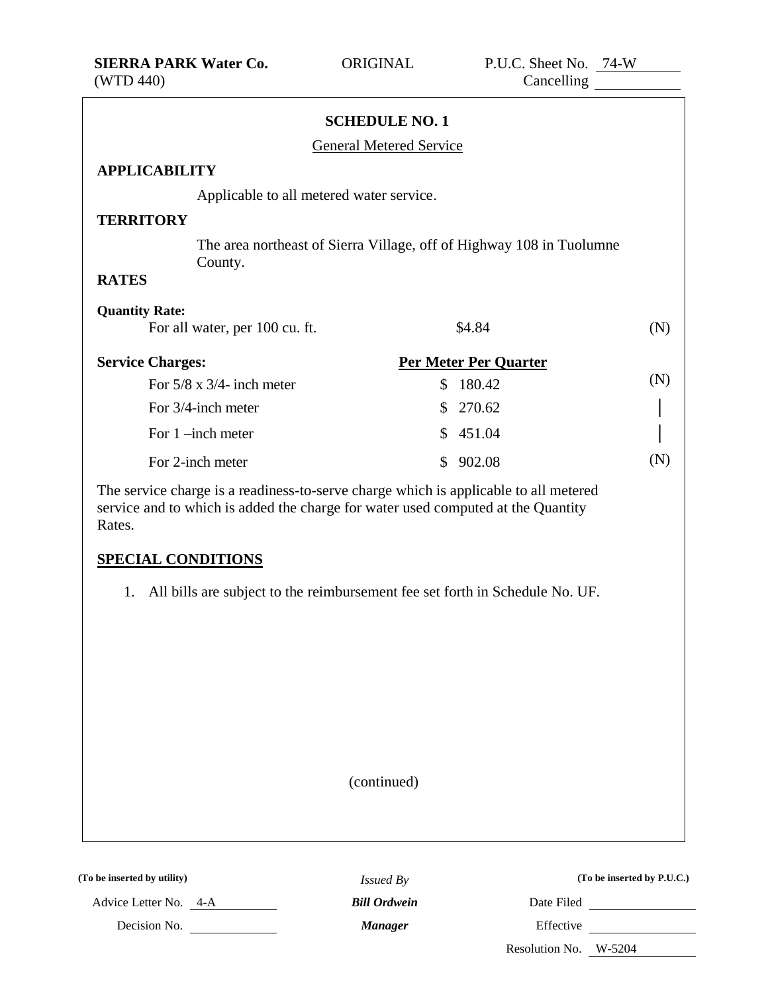#### **SCHEDULE NO. 1**

#### General Metered Service

#### **APPLICABILITY**

Applicable to all metered water service.

#### **TERRITORY**

The area northeast of Sierra Village, off of Highway 108 in Tuolumne County.

For all water, per  $100 \text{ cu. ft}$ . \$4.84 (N)

#### **RATES**

#### **Quantity Rate:**

| <b>Service Charges:</b>           | Per Meter Per Quarter |                            |
|-----------------------------------|-----------------------|----------------------------|
| For $5/8 \times 3/4$ - inch meter | \$180.42              | (N)                        |
| For $3/4$ -inch meter             | \$270.62              |                            |
| For $1$ -inch meter               | \$451.04              |                            |
| For 2-inch meter                  | 902.08                | $\left( \mathbf{N}\right)$ |

The service charge is a readiness-to-serve charge which is applicable to all metered service and to which is added the charge for water used computed at the Quantity Rates.

#### **SPECIAL CONDITIONS**

1. All bills are subject to the reimbursement fee set forth in Schedule No. UF.

(continued)

|  | (To be inserted by utility) |  |  |
|--|-----------------------------|--|--|
|--|-----------------------------|--|--|

Advice Letter No. 4-A **Bill Ordwein** Date Filed

Decision No. **Manager** Effective **Effective** 

**(To be inserted by P.U.C.)** *Issued By* 

Resolution No. W-5204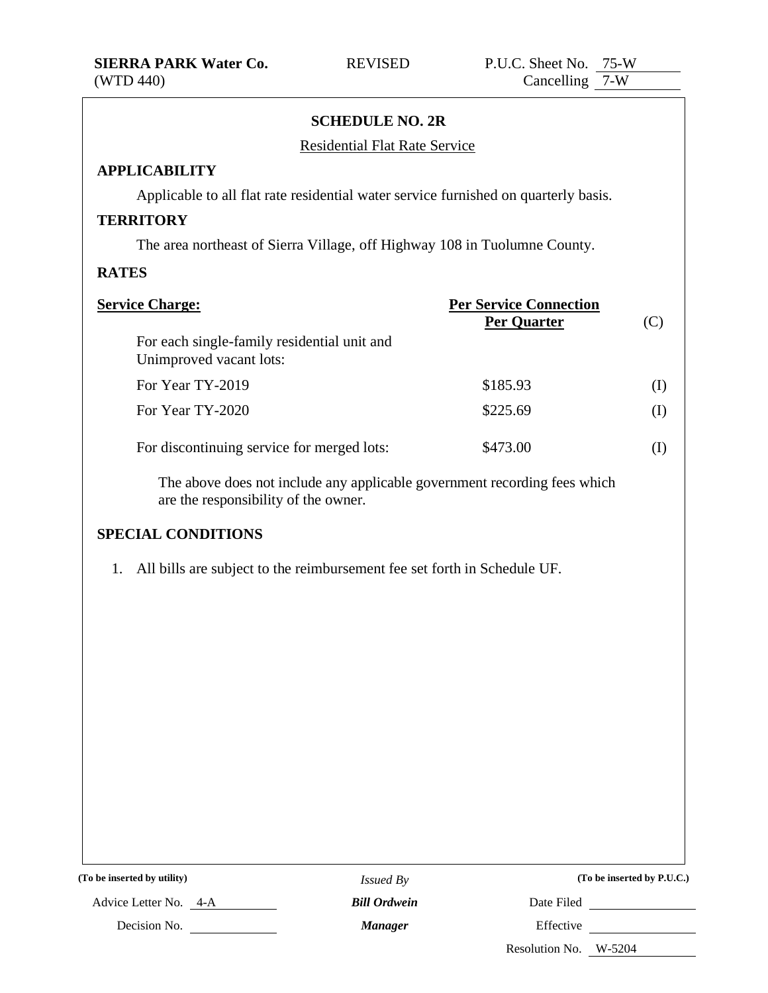#### **SCHEDULE NO. 2R**

#### Residential Flat Rate Service

#### **APPLICABILITY**

Applicable to all flat rate residential water service furnished on quarterly basis.

#### **TERRITORY**

The area northeast of Sierra Village, off Highway 108 in Tuolumne County.

#### **RATES**

| <b>Service Charge:</b>                                                 | <b>Per Service Connection</b><br><b>Per Quarter</b> | (C) |
|------------------------------------------------------------------------|-----------------------------------------------------|-----|
| For each single-family residential unit and<br>Unimproved vacant lots: |                                                     |     |
| For Year TY-2019                                                       | \$185.93                                            | (I) |
| For Year TY-2020                                                       | \$225.69                                            | (I) |
| For discontinuing service for merged lots:                             | \$473.00                                            |     |

The above does not include any applicable government recording fees which are the responsibility of the owner.

#### **SPECIAL CONDITIONS**

1. All bills are subject to the reimbursement fee set forth in Schedule UF.

|  | (To be inserted by utility) |  |  |
|--|-----------------------------|--|--|
|--|-----------------------------|--|--|

Advice Letter No. 4-A **Bill Ordwein** 

Decision No. **Manager** Manager

**(To be inserted by P.U.C.)** *Issued By* 

| Date Filed |  |
|------------|--|
| Effective  |  |

Resolution No. W-5204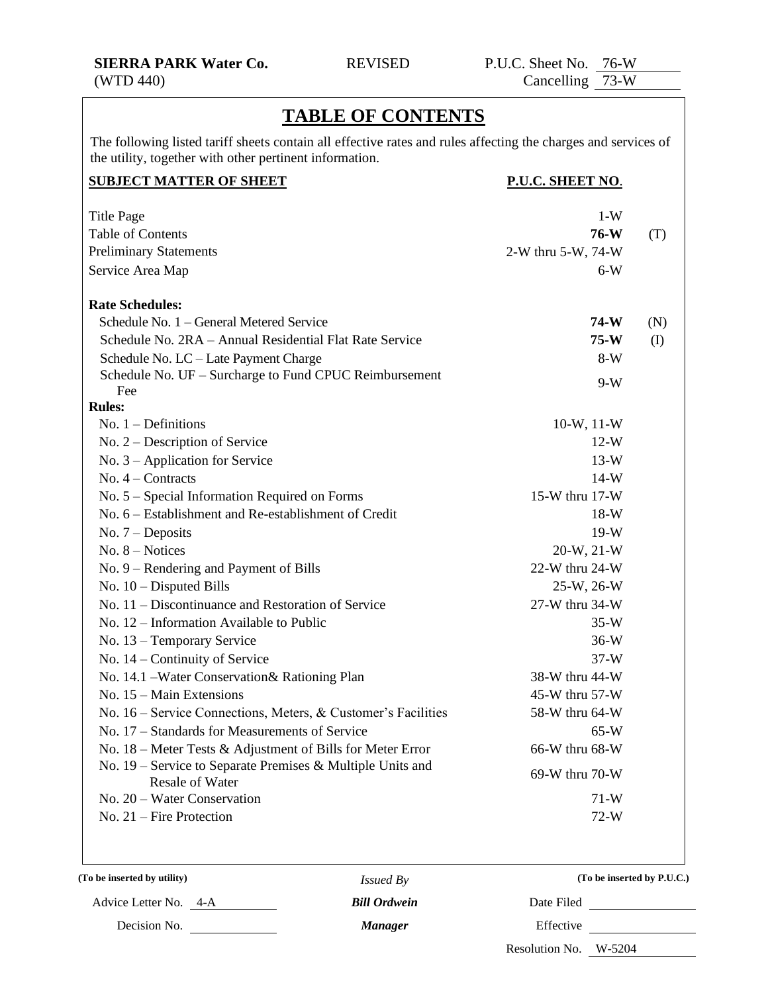(WTD 440) Cancelling  $\overline{73-W}$ 

# **TABLE OF CONTENTS**

The following listed tariff sheets contain all effective rates and rules affecting the charges and services of the utility, together with other pertinent information.

| <b>SUBJECT MATTER OF SHEET</b>                                                                  | P.U.C. SHEET NO.   |     |
|-------------------------------------------------------------------------------------------------|--------------------|-----|
| <b>Title Page</b>                                                                               | $1-W$              |     |
| <b>Table of Contents</b>                                                                        | 76-W               | (T) |
| <b>Preliminary Statements</b>                                                                   | 2-W thru 5-W, 74-W |     |
| Service Area Map                                                                                | $6-W$              |     |
|                                                                                                 |                    |     |
| <b>Rate Schedules:</b><br>Schedule No. 1 – General Metered Service                              | 74-W               |     |
| Schedule No. 2RA - Annual Residential Flat Rate Service                                         |                    | (N) |
|                                                                                                 | $75-W$             | (I) |
| Schedule No. LC - Late Payment Charge<br>Schedule No. UF - Surcharge to Fund CPUC Reimbursement | $8-W$              |     |
| Fee                                                                                             | $9-W$              |     |
| <b>Rules:</b>                                                                                   |                    |     |
| No. $1$ – Definitions                                                                           | $10-W$ , $11-W$    |     |
| No. $2$ – Description of Service                                                                | $12-W$             |     |
| No. $3$ – Application for Service                                                               | $13-W$             |     |
| No. $4$ – Contracts                                                                             | $14-W$             |     |
| No. $5$ – Special Information Required on Forms                                                 | 15-W thru 17-W     |     |
| No. 6 – Establishment and Re-establishment of Credit                                            | $18-W$             |     |
| No. $7 -$ Deposits                                                                              | $19-W$             |     |
| No. $8$ – Notices                                                                               | 20-W, 21-W         |     |
| No. 9 – Rendering and Payment of Bills                                                          | 22-W thru 24-W     |     |
| No. $10 -$ Disputed Bills                                                                       | 25-W, 26-W         |     |
| No. 11 – Discontinuance and Restoration of Service                                              | 27-W thru 34-W     |     |
| No. 12 - Information Available to Public                                                        | $35-W$             |     |
| No. 13 – Temporary Service                                                                      | $36-W$             |     |
| No. $14$ – Continuity of Service                                                                | $37-W$             |     |
| No. 14.1 - Water Conservation & Rationing Plan                                                  | 38-W thru 44-W     |     |
| No. $15 -$ Main Extensions                                                                      | 45-W thru 57-W     |     |
| No. 16 – Service Connections, Meters, & Customer's Facilities                                   | 58-W thru 64-W     |     |
| No. 17 - Standards for Measurements of Service                                                  | $65-W$             |     |
| No. $18$ – Meter Tests & Adjustment of Bills for Meter Error                                    | 66-W thru 68-W     |     |
| No. 19 - Service to Separate Premises & Multiple Units and<br><b>Resale of Water</b>            | 69-W thru 70-W     |     |
| No. 20 - Water Conservation                                                                     | $71-W$             |     |
| No. $21$ – Fire Protection                                                                      | $72-W$             |     |
|                                                                                                 |                    |     |

**(To be inserted by utility)** *Issued By* **(To be inserted by P.U.C.)**

Advice Letter No. 4-A **Bill Ordwein** Date Filed

Decision No. **Manager** Effective **Effective** 

Resolution No. W-5204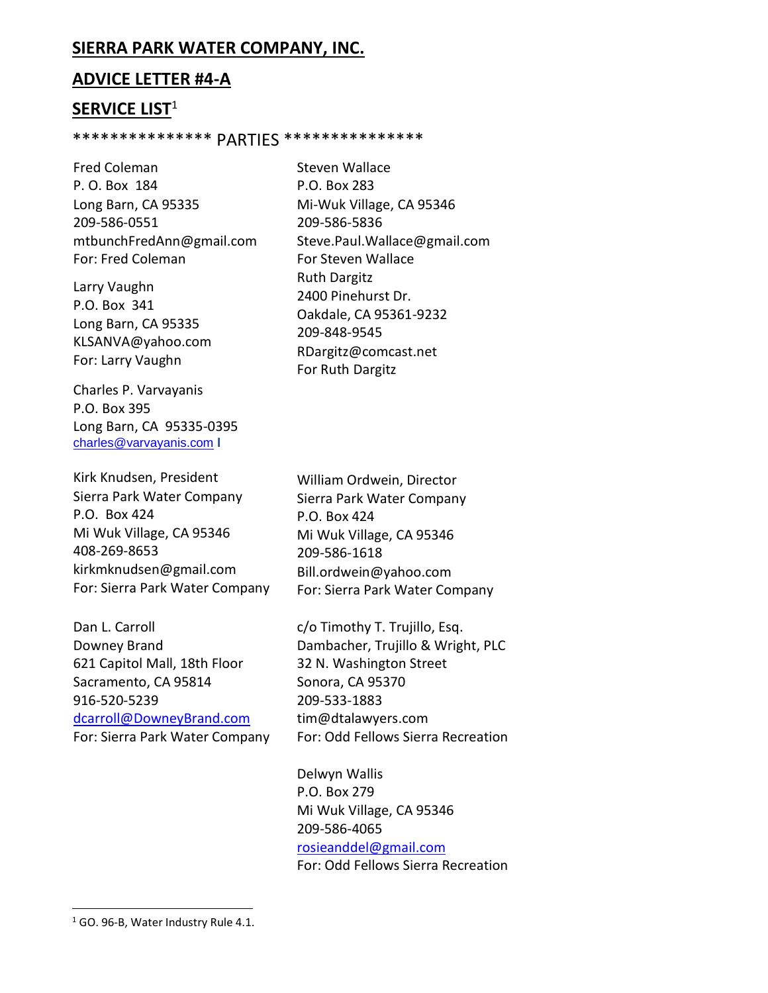## **SIERRA PARK WATER COMPANY, INC.**

### **ADVICE LETTER #4-A**

## **SERVICE LIST**<sup>1</sup>

#### \*\*\*\*\*\*\*\*\*\*\*\*\*\*\* PARTIES \*\*\*\*\*\*\*\*\*\*\*\*\*\*\*

Fred Coleman P. O. Box 184 Long Barn, CA 95335 209-586-0551 mtbunchFredAnn@gmail.com For: Fred Coleman

Larry Vaughn P.O. Box 341 Long Barn, CA 95335 KLSANVA@yahoo.com For: Larry Vaughn

Charles P. Varvayanis P.O. Box 395 Long Barn, CA 95335-0395 [charles@varvayanis.com](mailto:charles@varvayanis.com) **l**

Kirk Knudsen, President Sierra Park Water Company P.O. Box 424 Mi Wuk Village, CA 95346 408-269-8653 kirkmknudsen@gmail.com For: Sierra Park Water Company

Dan L. Carroll Downey Brand 621 Capitol Mall, 18th Floor Sacramento, CA 95814 916-520-5239 [dcarroll@DowneyBrand.com](mailto:dcarroll@DowneyBrand.com) For: Sierra Park Water Company Steven Wallace P.O. Box 283 Mi-Wuk Village, CA 95346 209-586-5836 Steve.Paul.Wallace@gmail.com For Steven Wallace Ruth Dargitz 2400 Pinehurst Dr. Oakdale, CA 95361-9232 209-848-9545 RDargitz@comcast.net For Ruth Dargitz

William Ordwein, Director Sierra Park Water Company P.O. Box 424 Mi Wuk Village, CA 95346 209-586-1618 Bill.ordwein@yahoo.com For: Sierra Park Water Company

c/o Timothy T. Trujillo, Esq. Dambacher, Trujillo & Wright, PLC 32 N. Washington Street Sonora, CA 95370 209-533-1883 tim@dtalawyers.com For: Odd Fellows Sierra Recreation

Delwyn Wallis P.O. Box 279 Mi Wuk Village, CA 95346 209-586-4065 [rosieanddel@gmail.com](mailto:rosieanddel@gmail.com) For: Odd Fellows Sierra Recreation

<sup>&</sup>lt;sup>1</sup> GO. 96-B, Water Industry Rule 4.1.